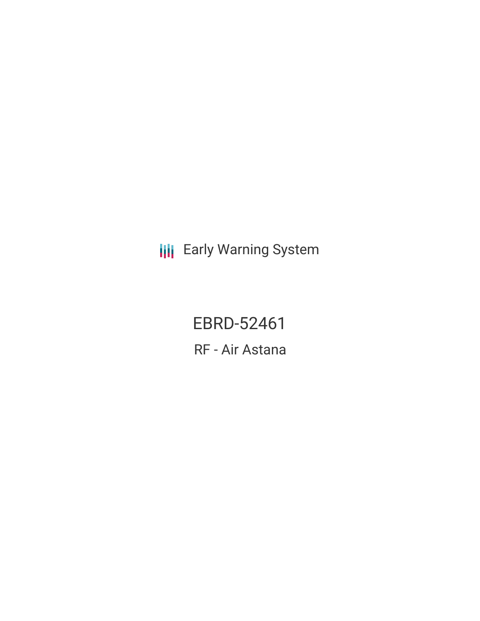**III** Early Warning System

EBRD-52461 RF - Air Astana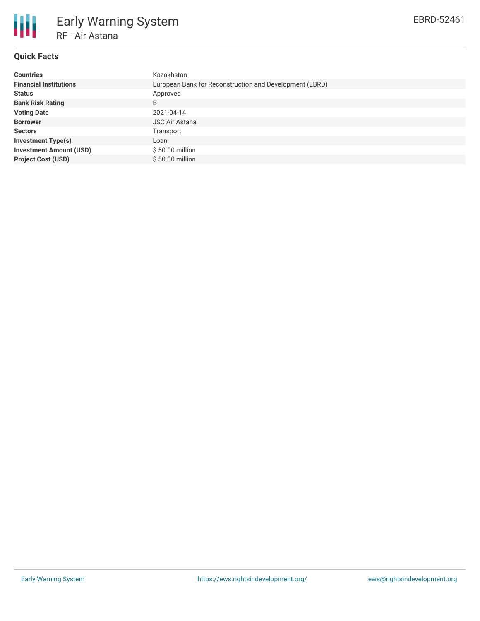

### **Quick Facts**

| <b>Countries</b>               | Kazakhstan                                              |  |  |  |  |
|--------------------------------|---------------------------------------------------------|--|--|--|--|
| <b>Financial Institutions</b>  | European Bank for Reconstruction and Development (EBRD) |  |  |  |  |
| <b>Status</b>                  | Approved                                                |  |  |  |  |
| <b>Bank Risk Rating</b>        | B                                                       |  |  |  |  |
| <b>Voting Date</b>             | 2021-04-14                                              |  |  |  |  |
| <b>Borrower</b>                | <b>JSC Air Astana</b>                                   |  |  |  |  |
| <b>Sectors</b>                 | Transport                                               |  |  |  |  |
| <b>Investment Type(s)</b>      | Loan                                                    |  |  |  |  |
| <b>Investment Amount (USD)</b> | $$50.00$ million                                        |  |  |  |  |
| <b>Project Cost (USD)</b>      | \$50.00 million                                         |  |  |  |  |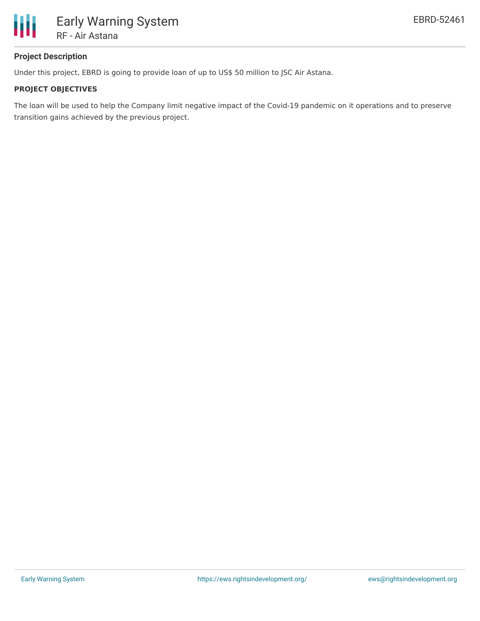

# **Project Description**

Under this project, EBRD is going to provide loan of up to US\$ 50 million to JSC Air Astana.

### **PROJECT OBJECTIVES**

The loan will be used to help the Company limit negative impact of the Covid-19 pandemic on it operations and to preserve transition gains achieved by the previous project.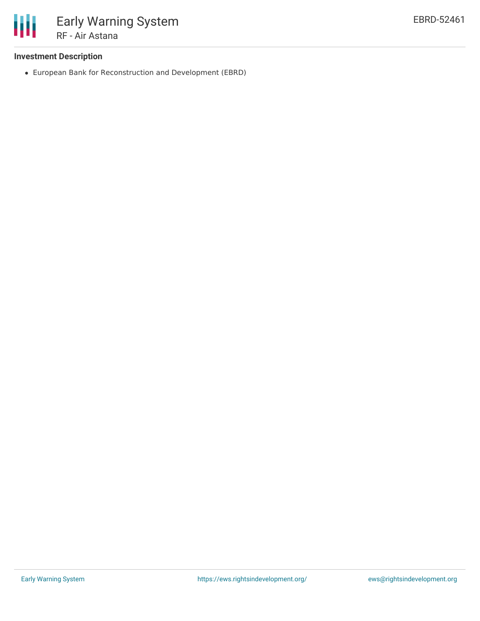

# **Investment Description**

European Bank for Reconstruction and Development (EBRD)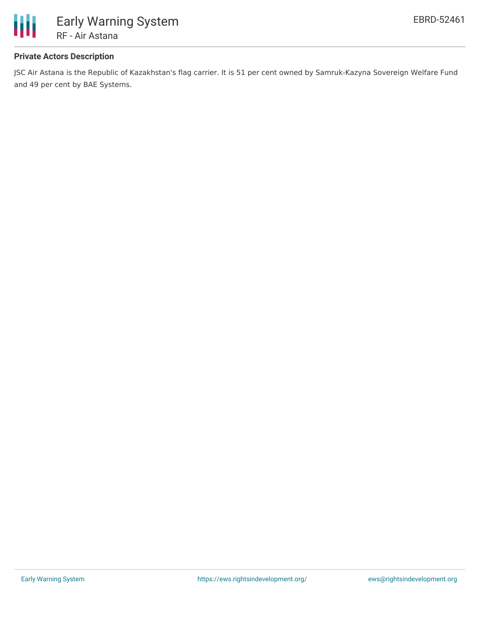

# **Private Actors Description**

JSC Air Astana is the Republic of Kazakhstan's flag carrier. It is 51 per cent owned by Samruk-Kazyna Sovereign Welfare Fund and 49 per cent by BAE Systems.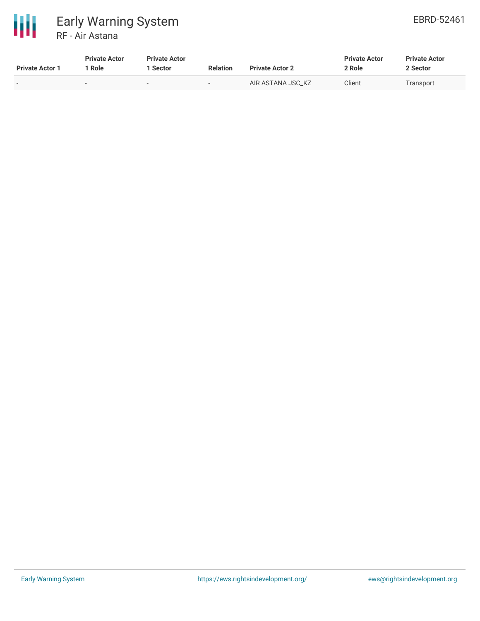

| <b>Private Actor 1</b> | <b>Private Actor</b><br>* Role | <b>Private Actor</b><br>l Sector | <b>Relation</b> | <b>Private Actor 2</b> | <b>Private Actor</b><br>2 Role | <b>Private Actor</b><br>2 Sector |
|------------------------|--------------------------------|----------------------------------|-----------------|------------------------|--------------------------------|----------------------------------|
|                        |                                |                                  | $-$             | AIR ASTANA JSC KZ      | Client                         | Transport                        |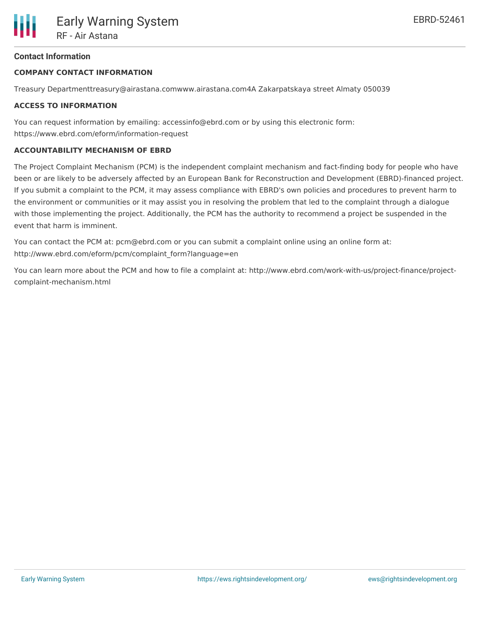# **Contact Information**

#### **COMPANY CONTACT INFORMATION**

Treasury Departmenttreasury@airastana.comwww.airastana.com4A Zakarpatskaya street Almaty 050039

#### **ACCESS TO INFORMATION**

You can request information by emailing: accessinfo@ebrd.com or by using this electronic form: https://www.ebrd.com/eform/information-request

#### **ACCOUNTABILITY MECHANISM OF EBRD**

The Project Complaint Mechanism (PCM) is the independent complaint mechanism and fact-finding body for people who have been or are likely to be adversely affected by an European Bank for Reconstruction and Development (EBRD)-financed project. If you submit a complaint to the PCM, it may assess compliance with EBRD's own policies and procedures to prevent harm to the environment or communities or it may assist you in resolving the problem that led to the complaint through a dialogue with those implementing the project. Additionally, the PCM has the authority to recommend a project be suspended in the event that harm is imminent.

You can contact the PCM at: pcm@ebrd.com or you can submit a complaint online using an online form at: http://www.ebrd.com/eform/pcm/complaint\_form?language=en

You can learn more about the PCM and how to file a complaint at: http://www.ebrd.com/work-with-us/project-finance/projectcomplaint-mechanism.html